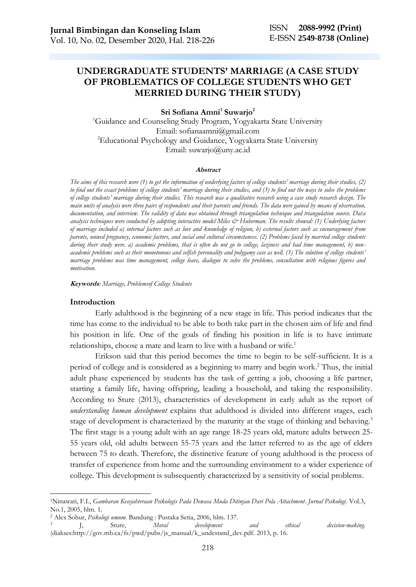# **UNDERGRADUATE STUDENTS' MARRIAGE (A CASE STUDY OF PROBLEMATICS OF COLLEGE STUDENTS WHO GET MERRIED DURING THEIR STUDY)**

**Sri Sofiana Amni<sup>1</sup> Suwarjo<sup>2</sup>**

<sup>1</sup>Guidance and Counseling Study Program, Yogyakarta State University Email: sofianaamni@gmail.com <sup>2</sup>Educational Psychology and Guidance, Yogyakarta State University Email: [suwarjo@uny.ac.id](mailto:suwarjo@uny.ac.id)

#### **Abstract**

*The aims of this research were (1) to get the information of underlying factors of college students' marriage during their studies, (2) to find out the exact problems of college students' marriage during their studies, and (3) to find out the ways to solve the problems of college students' marriage during their studies. This research was a qualitative research using a case study research design. The main units of analysis were three pairs of respondents and their parents and friends. The data were gained by means of observation, documentation, and interview. The validity of data was obtained through triangulation technique and triangulation source. Data analysis techniques were conducted by adopting interactive model Miles & Huberman. The results showed: (1) Underlying factors of marriage included a) internal factors such as love and knowledge of religion, b) external factors such as encouragement from parents, unwed pregnancy, economic factors, and social and cultural circumstances. (2) Problems faced by married college students during their study were. a) academic problems, that is often do not go to college, laziness and bad time management, b) nonacademic problems such as their monotonous and selfish personality and polygamy case as well. (3) The solution of college students' marriage problems was time management, college leave, dialogue to solve the problems, consultation with religious figures and motivation.*

**Keywords***: Marriage, Problemsof College Students*

#### **Introduction**

Early adulthood is the beginning of a new stage in life. This period indicates that the time has come to the individual to be able to both take part in the chosen aim of life and find his position in life. One of the goals of finding his position in life is to have intimate relationships, choose a mate and learn to live with a husband or wife.<sup>1</sup>

Erikson said that this period becomes the time to begin to be self-sufficient. It is a period of college and is considered as a beginning to marry and begin work. <sup>2</sup> Thus, the initial adult phase experienced by students has the task of getting a job, choosing a life partner, starting a family life, having offspring, leading a household, and taking the responsibility. According to Sture (2013), characteristics of development in early adult as the report of *understanding human development* explains that adulthood is divided into different stages, each stage of development is characterized by the maturity at the stage of thinking and behaving.<sup>3</sup> The first stage is a young adult with an age range 18-25 years old, mature adults between 25- 55 years old, old adults between 55-75 years and the latter referred to as the age of elders between 75 to death. Therefore, the distinctive feature of young adulthood is the process of transfer of experience from home and the surrounding environment to a wider experience of college. This development is subsequently characterized by a sensitivity of social problems.

<sup>1</sup>Ninawati, F.I., *Gambaran Kesejahteraan Psikologis Pada Dewasa Muda Ditinjau Dari Pola Attachment*. *Jurnal Psikologi*. Vol.3, No.1, 2005, hlm. 1.

<sup>2</sup> Alex Sobur, *Psikologi umum.* Bandung : Pustaka Setia, 2006, hlm. 137.

<sup>3</sup> J, Sture, *Moral development and ethical decision-making.* (diakses:http://gov.mb.ca/fs/pwd/pubs/js\_manual/k\_undestand\_dev.pdf. 2013, p. 16.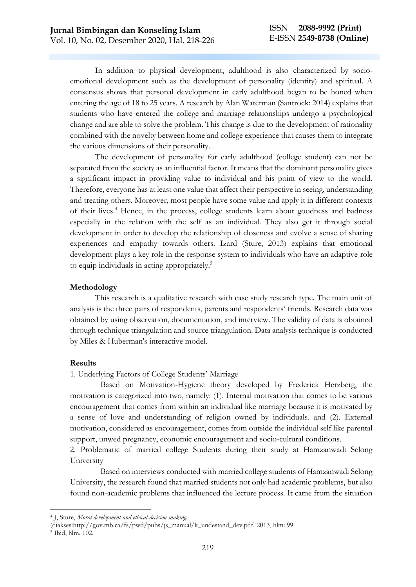In addition to physical development, adulthood is also characterized by socioemotional development such as the development of personality (identity) and spiritual. A consensus shows that personal development in early adulthood began to be honed when entering the age of 18 to 25 years. A research by Alan Waterman (Santrock: 2014) explains that students who have entered the college and marriage relationships undergo a psychological change and are able to solve the problem. This change is due to the development of rationality combined with the novelty between home and college experience that causes them to integrate the various dimensions of their personality.

The development of personality for early adulthood (college student) can not be separated from the society as an influential factor. It means that the dominant personality gives a significant impact in providing value to individual and his point of view to the world. Therefore, everyone has at least one value that affect their perspective in seeing, understanding and treating others. Moreover, most people have some value and apply it in different contexts of their lives. <sup>4</sup> Hence, in the process, college students learn about goodness and badness especially in the relation with the self as an individual. They also get it through social development in order to develop the relationship of closeness and evolve a sense of sharing experiences and empathy towards others. Izard (Sture, 2013) explains that emotional development plays a key role in the response system to individuals who have an adaptive role to equip individuals in acting appropriately.<sup>5</sup>

### **Methodology**

This research is a qualitative research with case study research type. The main unit of analysis is the three pairs of respondents, parents and respondents' friends. Research data was obtained by using observation, documentation, and interview. The validity of data is obtained through technique triangulation and source triangulation. Data analysis technique is conducted by Miles & Huberman's interactive model.

#### **Results**

1. Underlying Factors of College Students' Marriage

Based on Motivation-Hygiene theory developed by Frederick Herzberg, the motivation is categorized into two, namely: (1). Internal motivation that comes to be various encouragement that comes from within an individual like marriage because it is motivated by a sense of love and understanding of religion owned by individuals. and (2). External motivation, considered as encouragement, comes from outside the individual self like parental support, unwed pregnancy, economic encouragement and socio-cultural conditions.

2. Problematic of married college Students during their study at Hamzanwadi Selong University

Based on interviews conducted with married college students of Hamzanwadi Selong University, the research found that married students not only had academic problems, but also found non-academic problems that influenced the lecture process. It came from the situation

<sup>4</sup> J, Sture, *Moral development and ethical decision-making.*

<sup>(</sup>diakses:http://gov.mb.ca/fs/pwd/pubs/js\_manual/k\_undestand\_dev.pdf. 2013, hlm: 99 <sup>5</sup> Ibid, hlm. 102.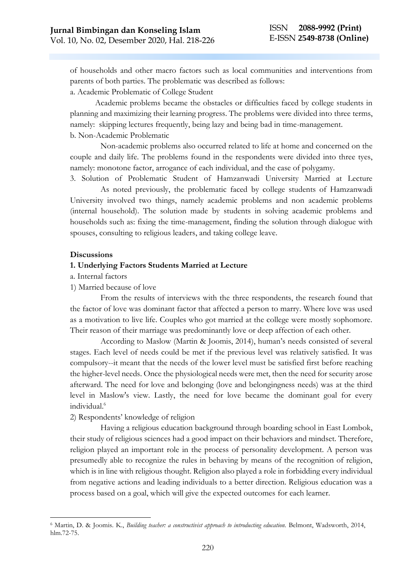of households and other macro factors such as local communities and interventions from parents of both parties. The problematic was described as follows:

a. Academic Problematic of College Student

Academic problems became the obstacles or difficulties faced by college students in planning and maximizing their learning progress. The problems were divided into three terms, namely: skipping lectures frequently, being lazy and being bad in time-management. b. Non-Academic Problematic

Non-academic problems also occurred related to life at home and concerned on the couple and daily life. The problems found in the respondents were divided into three tyes, namely: monotone factor, arrogance of each individual, and the case of polygamy.

3. Solution of Problematic Student of Hamzanwadi University Married at Lecture As noted previously, the problematic faced by college students of Hamzanwadi University involved two things, namely academic problems and non academic problems (internal household). The solution made by students in solving academic problems and households such as: fixing the time-management, finding the solution through dialogue with spouses, consulting to religious leaders, and taking college leave.

## **Discussions**

## **1. Underlying Factors Students Married at Lecture**

- a. Internal factors
- 1) Married because of love

From the results of interviews with the three respondents, the research found that the factor of love was dominant factor that affected a person to marry. Where love was used as a motivation to live life. Couples who got married at the college were mostly sophomore. Their reason of their marriage was predominantly love or deep affection of each other.

According to Maslow (Martin & Joomis, 2014), human's needs consisted of several stages. Each level of needs could be met if the previous level was relatively satisfied. It was compulsory--it meant that the needs of the lower level must be satisfied first before reaching the higher-level needs. Once the physiological needs were met, then the need for security arose afterward. The need for love and belonging (love and belongingness needs) was at the third level in Maslow's view. Lastly, the need for love became the dominant goal for every individual.<sup>6</sup>

2) Respondents' knowledge of religion

Having a religious education background through boarding school in East Lombok, their study of religious sciences had a good impact on their behaviors and mindset. Therefore, religion played an important role in the process of personality development. A person was presumedly able to recognize the rules in behaving by means of the recognition of religion, which is in line with religious thought. Religion also played a role in forbidding every individual from negative actions and leading individuals to a better direction. Religious education was a process based on a goal, which will give the expected outcomes for each learner.

<sup>6</sup> Martin, D. & Joomis. K., *Building teacher: a constructivist approach to introducting education.* Belmont, Wadsworth, 2014, hlm.72-75.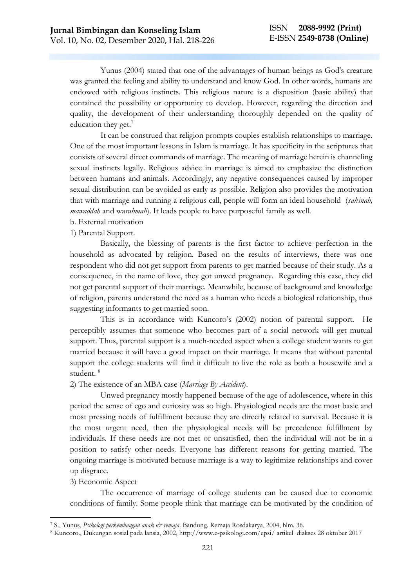Yunus (2004) stated that one of the advantages of human beings as God's creature was granted the feeling and ability to understand and know God. In other words, humans are endowed with religious instincts. This religious nature is a disposition (basic ability) that contained the possibility or opportunity to develop. However, regarding the direction and quality, the development of their understanding thoroughly depended on the quality of education they get. $<sup>7</sup>$ </sup>

It can be construed that religion prompts couples establish relationships to marriage. One of the most important lessons in Islam is marriage. It has specificity in the scriptures that consists of several direct commands of marriage. The meaning of marriage herein is channeling sexual instincts legally. Religious advice in marriage is aimed to emphasize the distinction between humans and animals. Accordingly, any negative consequences caused by improper sexual distribution can be avoided as early as possible. Religion also provides the motivation that with marriage and running a religious call, people will form an ideal household (*sakinah, mawaddah* and wa*rahmah*). It leads people to have purposeful family as well.

- b. External motivation
- 1) Parental Support.

Basically, the blessing of parents is the first factor to achieve perfection in the household as advocated by religion. Based on the results of interviews, there was one respondent who did not get support from parents to get married because of their study. As a consequence, in the name of love, they got unwed pregnancy. Regarding this case, they did not get parental support of their marriage. Meanwhile, because of background and knowledge of religion, parents understand the need as a human who needs a biological relationship, thus suggesting informants to get married soon.

This is in accordance with Kuncoro's (2002) notion of parental support. He perceptibly assumes that someone who becomes part of a social network will get mutual support. Thus, parental support is a much-needed aspect when a college student wants to get married because it will have a good impact on their marriage. It means that without parental support the college students will find it difficult to live the role as both a housewife and a student.<sup>8</sup>

### 2) The existence of an MBA case (*Marriage By Accident*).

Unwed pregnancy mostly happened because of the age of adolescence, where in this period the sense of ego and curiosity was so high. Physiological needs are the most basic and most pressing needs of fulfillment because they are directly related to survival. Because it is the most urgent need, then the physiological needs will be precedence fulfillment by individuals. If these needs are not met or unsatisfied, then the individual will not be in a position to satisfy other needs. Everyone has different reasons for getting married. The ongoing marriage is motivated because marriage is a way to legitimize relationships and cover up disgrace.

### 3) Economic Aspect

The occurrence of marriage of college students can be caused due to economic conditions of family. Some people think that marriage can be motivated by the condition of

<sup>7</sup> S., Yunus, *Psikologi perkembangan anak & remaja*. Bandung. Remaja Rosdakarya, 2004, hlm. 36.

<sup>8</sup> Kuncoro., Dukungan sosial pada lansia, 2002, [http://www.e-psikologi.com/epsi/](http://www.e-psikologi.com/epsi) artikel diakses 28 oktober 2017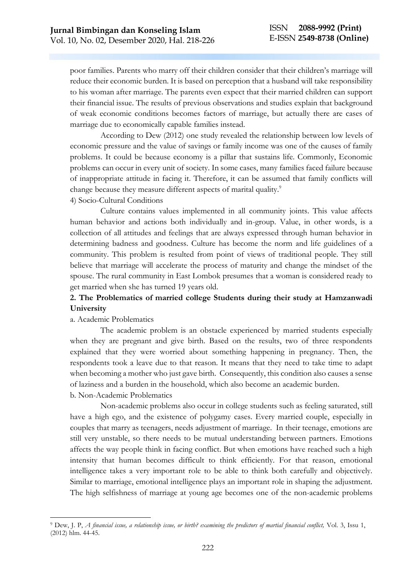poor families. Parents who marry off their children consider that their children's marriage will reduce their economic burden. It is based on perception that a husband will take responsibility to his woman after marriage. The parents even expect that their married children can support their financial issue. The results of previous observations and studies explain that background of weak economic conditions becomes factors of marriage, but actually there are cases of marriage due to economically capable families instead.

According to Dew (2012) one study revealed the relationship between low levels of economic pressure and the value of savings or family income was one of the causes of family problems. It could be because economy is a pillar that sustains life. Commonly, Economic problems can occur in every unit of society. In some cases, many families faced failure because of inappropriate attitude in facing it. Therefore, it can be assumed that family conflicts will change because they measure different aspects of marital quality.<sup>9</sup>

4) Socio-Cultural Conditions

Culture contains values implemented in all community joints. This value affects human behavior and actions both individually and in-group. Value, in other words, is a collection of all attitudes and feelings that are always expressed through human behavior in determining badness and goodness. Culture has become the norm and life guidelines of a community. This problem is resulted from point of views of traditional people. They still believe that marriage will accelerate the process of maturity and change the mindset of the spouse. The rural community in East Lombok presumes that a woman is considered ready to get married when she has turned 19 years old.

## **2. The Problematics of married college Students during their study at Hamzanwadi University**

### a. Academic Problematics

The academic problem is an obstacle experienced by married students especially when they are pregnant and give birth. Based on the results, two of three respondents explained that they were worried about something happening in pregnancy. Then, the respondents took a leave due to that reason. It means that they need to take time to adapt when becoming a mother who just gave birth. Consequently, this condition also causes a sense of laziness and a burden in the household, which also become an academic burden.

b. Non-Academic Problematics

Non-academic problems also occur in college students such as feeling saturated, still have a high ego, and the existence of polygamy cases. Every married couple, especially in couples that marry as teenagers, needs adjustment of marriage. In their teenage, emotions are still very unstable, so there needs to be mutual understanding between partners. Emotions affects the way people think in facing conflict. But when emotions have reached such a high intensity that human becomes difficult to think efficiently. For that reason, emotional intelligence takes a very important role to be able to think both carefully and objectively. Similar to marriage, emotional intelligence plays an important role in shaping the adjustment. The high selfishness of marriage at young age becomes one of the non-academic problems

<sup>9</sup> Dew, J. P, *A financial issue, a relationship issue, or birth? examining the predictors of martial financial conflict,* Vol. 3, Issu 1, (2012) hlm. 44-45.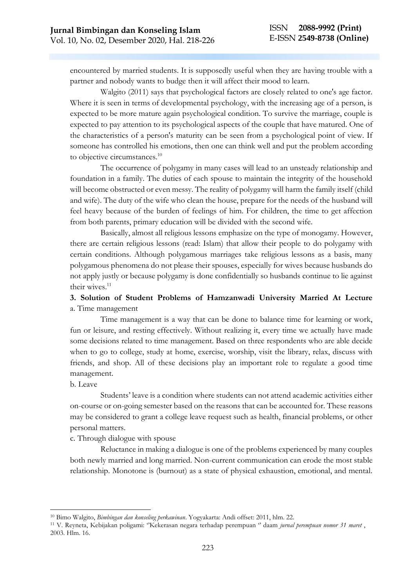encountered by married students. It is supposedly useful when they are having trouble with a partner and nobody wants to budge then it will affect their mood to learn.

Walgito (2011) says that psychological factors are closely related to one's age factor. Where it is seen in terms of developmental psychology, with the increasing age of a person, is expected to be more mature again psychological condition. To survive the marriage, couple is expected to pay attention to its psychological aspects of the couple that have matured. One of the characteristics of a person's maturity can be seen from a psychological point of view. If someone has controlled his emotions, then one can think well and put the problem according to objective circumstances.<sup>10</sup>

The occurrence of polygamy in many cases will lead to an unsteady relationship and foundation in a family. The duties of each spouse to maintain the integrity of the household will become obstructed or even messy. The reality of polygamy will harm the family itself (child and wife). The duty of the wife who clean the house, prepare for the needs of the husband will feel heavy because of the burden of feelings of him. For children, the time to get affection from both parents, primary education will be divided with the second wife.

Basically, almost all religious lessons emphasize on the type of monogamy. However, there are certain religious lessons (read: Islam) that allow their people to do polygamy with certain conditions. Although polygamous marriages take religious lessons as a basis, many polygamous phenomena do not please their spouses, especially for wives because husbands do not apply justly or because polygamy is done confidentially so husbands continue to lie against their wives.<sup>11</sup>

## **3. Solution of Student Problems of Hamzanwadi University Married At Lecture** a. Time management

Time management is a way that can be done to balance time for learning or work, fun or leisure, and resting effectively. Without realizing it, every time we actually have made some decisions related to time management. Based on three respondents who are able decide when to go to college, study at home, exercise, worship, visit the library, relax, discuss with friends, and shop. All of these decisions play an important role to regulate a good time management.

## b. Leave

Students' leave is a condition where students can not attend academic activities either on-course or on-going semester based on the reasons that can be accounted for. These reasons may be considered to grant a college leave request such as health, financial problems, or other personal matters.

c. Through dialogue with spouse

Reluctance in making a dialogue is one of the problems experienced by many couples both newly married and long married. Non-current communication can erode the most stable relationship. Monotone is (burnout) as a state of physical exhaustion, emotional, and mental.

<sup>10</sup> Bimo Walgito, *Bimbingan dan konseling perkawinan*. Yogyakarta: Andi offset: 2011, hlm. 22.

<sup>11</sup> V. Reyneta, Kebijakan poligami: ''Kekerasan negara terhadap perempuan '' daam *jurnal perempuan nomor 31 maret* , 2003. Hlm. 16.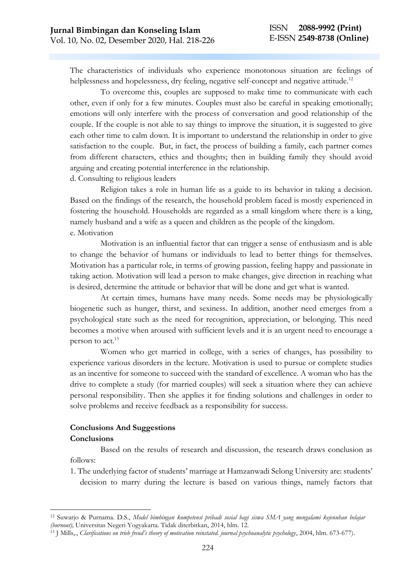The characteristics of individuals who experience monotonous situation are feelings of helplessness and hopelessness, dry feeling, negative self-concept and negative attitude.<sup>12</sup>

To overcome this, couples are supposed to make time to communicate with each other, even if only for a few minutes. Couples must also be careful in speaking emotionally; emotions will only interfere with the process of conversation and good relationship of the couple. If the couple is not able to say things to improve the situation, it is suggested to give each other time to calm down. It is important to understand the relationship in order to give satisfaction to the couple. But, in fact, the process of building a family, each partner comes from different characters, ethics and thoughts; then in building family they should avoid arguing and creating potential interference in the relationship.

d. Consulting to religious leaders

Religion takes a role in human life as a guide to its behavior in taking a decision. Based on the findings of the research, the household problem faced is mostly experienced in fostering the household. Households are regarded as a small kingdom where there is a king, namely husband and a wife as a queen and children as the people of the kingdom. e. Motivation

Motivation is an influential factor that can trigger a sense of enthusiasm and is able to change the behavior of humans or individuals to lead to better things for themselves. Motivation has a particular role, in terms of growing passion, feeling happy and passionate in taking action. Motivation will lead a person to make changes, give direction in reaching what is desired, determine the attitude or behavior that will be done and get what is wanted.

At certain times, humans have many needs. Some needs may be physiologically biogenetic such as hunger, thirst, and sexiness. In addition, another need emerges from a psychological state such as the need for recognition, appreciation, or belonging. This need becomes a motive when aroused with sufficient levels and it is an urgent need to encourage a person to act.<sup>13</sup>

Women who get married in college, with a series of changes, has possibility to experience various disorders in the lecture. Motivation is used to pursue or complete studies as an incentive for someone to succeed with the standard of excellence. A woman who has the drive to complete a study (for married couples) will seek a situation where they can achieve personal responsibility. Then she applies it for finding solutions and challenges in order to solve problems and receive feedback as a responsibility for success.

## **Conclusions And Suggestions**

## **Conclusions**

Based on the results of research and discussion, the research draws conclusion as follows:

1. The underlying factor of students' marriage at Hamzanwadi Selong University are: students' decision to marry during the lecture is based on various things, namely factors that

<sup>12</sup> Suwarjo & Purnama. D.S., *Model bimbingan kompetensi pribadi sosial bagi siswa SMA yang mengalami kejenuhan belajar (burnout),* Universitas Negeri Yogyakarta. Tidak diterbitkan, 2014, hlm. 12.

<sup>13</sup> J Mills,., *Clarifications on trieb freud's theory of motivation reinstated. journal psychoanalytic psychology*, 2004, hlm. 673-677).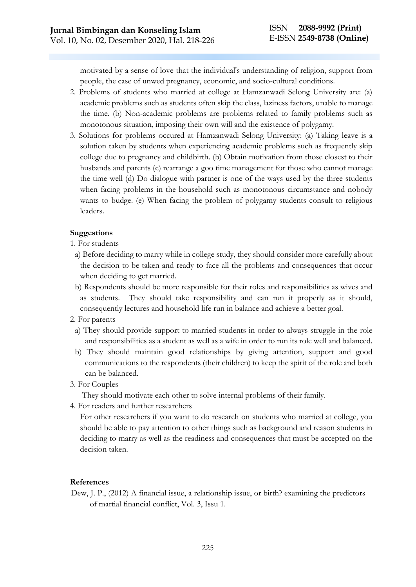motivated by a sense of love that the individual's understanding of religion, support from people, the case of unwed pregnancy, economic, and socio-cultural conditions.

- 2. Problems of students who married at college at Hamzanwadi Selong University are: (a) academic problems such as students often skip the class, laziness factors, unable to manage the time. (b) Non-academic problems are problems related to family problems such as monotonous situation, imposing their own will and the existence of polygamy.
- 3. Solutions for problems occured at Hamzanwadi Selong University: (a) Taking leave is a solution taken by students when experiencing academic problems such as frequently skip college due to pregnancy and childbirth. (b) Obtain motivation from those closest to their husbands and parents (c) rearrange a goo time management for those who cannot manage the time well (d) Do dialogue with partner is one of the ways used by the three students when facing problems in the household such as monotonous circumstance and nobody wants to budge. (e) When facing the problem of polygamy students consult to religious leaders.

## **Suggestions**

- 1. For students
- a) Before deciding to marry while in college study, they should consider more carefully about the decision to be taken and ready to face all the problems and consequences that occur when deciding to get married.
- b) Respondents should be more responsible for their roles and responsibilities as wives and as students. They should take responsibility and can run it properly as it should, consequently lectures and household life run in balance and achieve a better goal.
- 2. For parents
- a) They should provide support to married students in order to always struggle in the role and responsibilities as a student as well as a wife in order to run its role well and balanced.
- b) They should maintain good relationships by giving attention, support and good communications to the respondents (their children) to keep the spirit of the role and both can be balanced.
- 3. For Couples

They should motivate each other to solve internal problems of their family.

4. For readers and further researchers

For other researchers if you want to do research on students who married at college, you should be able to pay attention to other things such as background and reason students in deciding to marry as well as the readiness and consequences that must be accepted on the decision taken.

## **References**

Dew, J. P., (2012) A financial issue, a relationship issue, or birth? examining the predictors of martial financial conflict, Vol. 3, Issu 1.